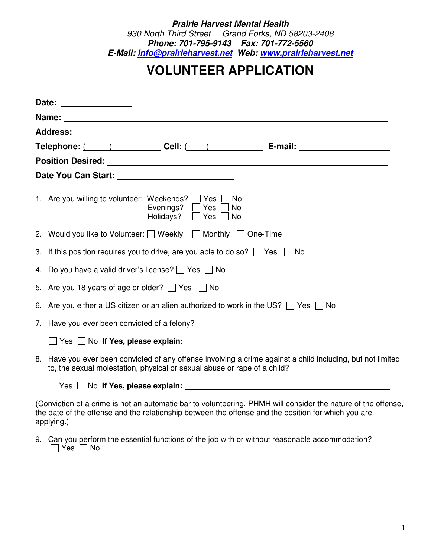*Prairie Harvest Mental Health 930 North Third Street Grand Forks, ND 58203-2408 Phone: 701-795-9143 Fax: 701-772-5560 E-Mail: info@prairieharvest.net Web: www.prairieharvest.net*

## **VOLUNTEER APPLICATION**

| Date: _______________                                                                                            |  |  |  |
|------------------------------------------------------------------------------------------------------------------|--|--|--|
|                                                                                                                  |  |  |  |
|                                                                                                                  |  |  |  |
| Telephone: $\qquad \qquad$ 2 Cell: $\qquad \qquad$ Cell: $\qquad \qquad$ E-mail:                                 |  |  |  |
|                                                                                                                  |  |  |  |
|                                                                                                                  |  |  |  |
| 1. Are you willing to volunteer: Weekends? Thes<br>No<br>Evenings?   Yes<br>No<br>Holidays? $\Box$ Yes $\Box$ No |  |  |  |
| 2. Would you like to Volunteer: □ Weekly □ Monthly □ One-Time                                                    |  |  |  |
| 3. If this position requires you to drive, are you able to do so? $\Box$ Yes $\Box$ No                           |  |  |  |
| 4. Do you have a valid driver's license? $\Box$ Yes $\Box$ No                                                    |  |  |  |
| 5. Are you 18 years of age or older? $\Box$ Yes $\Box$ No                                                        |  |  |  |
| 6. Are you either a US citizen or an alien authorized to work in the US? $\Box$ Yes $\Box$ No                    |  |  |  |
| 7. Have you ever been convicted of a felony?                                                                     |  |  |  |
|                                                                                                                  |  |  |  |
| 8. Have you ever been convicted of any offense involving a crime against a child including, but not limited      |  |  |  |

to, the sexual molestation, physical or sexual abuse or rape of a child?

Yes No **If Yes, please explain:**

(Conviction of a crime is not an automatic bar to volunteering. PHMH will consider the nature of the offense, the date of the offense and the relationship between the offense and the position for which you are applying.)

9. Can you perform the essential functions of the job with or without reasonable accommodation?  $\Box$  Yes  $\Box$  No